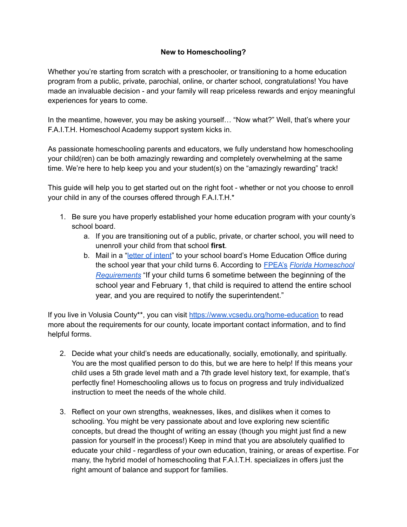## **New to Homeschooling?**

Whether you're starting from scratch with a preschooler, or transitioning to a home education program from a public, private, parochial, online, or charter school, congratulations! You have made an invaluable decision - and your family will reap priceless rewards and enjoy meaningful experiences for years to come.

In the meantime, however, you may be asking yourself… "Now what?" Well, that's where your F.A.I.T.H. Homeschool Academy support system kicks in.

As passionate homeschooling parents and educators, we fully understand how homeschooling your child(ren) can be both amazingly rewarding and completely overwhelming at the same time. We're here to help keep you and your student(s) on the "amazingly rewarding" track!

This guide will help you to get started out on the right foot - whether or not you choose to enroll your child in any of the courses offered through F.A.I.T.H.\*

- 1. Be sure you have properly established your home education program with your county's school board.
	- a. If you are transitioning out of a public, private, or charter school, you will need to unenroll your child from that school **first**.
	- b. Mail in a "letter of [intent](https://www.vcsedu.org/sites/default/files/department-files/Home%20Education/Home%20Education%202020%20Notice%20to%20Enroll%202020%20Updated_0.pdf)" to your school board's Home Education Office during the school year that your child turns 6. According to [FPEA's](https://fpea.com) *Florida [Homeschool](https://fpea.com/homeschooling/requirements) [Requirements](https://fpea.com/homeschooling/requirements)* "If your child turns 6 sometime between the beginning of the school year and February 1, that child is required to attend the entire school year, and you are required to notify the superintendent."

If you live in Volusia County\*\*, you can visit <https://www.vcsedu.org/home-education> to read more about the requirements for our county, locate important contact information, and to find helpful forms.

- 2. Decide what your child's needs are educationally, socially, emotionally, and spiritually. You are the most qualified person to do this, but we are here to help! If this means your child uses a 5th grade level math and a 7th grade level history text, for example, that's perfectly fine! Homeschooling allows us to focus on progress and truly individualized instruction to meet the needs of the whole child.
- 3. Reflect on your own strengths, weaknesses, likes, and dislikes when it comes to schooling. You might be very passionate about and love exploring new scientific concepts, but dread the thought of writing an essay (though you might just find a new passion for yourself in the process!) Keep in mind that you are absolutely qualified to educate your child - regardless of your own education, training, or areas of expertise. For many, the hybrid model of homeschooling that F.A.I.T.H. specializes in offers just the right amount of balance and support for families.